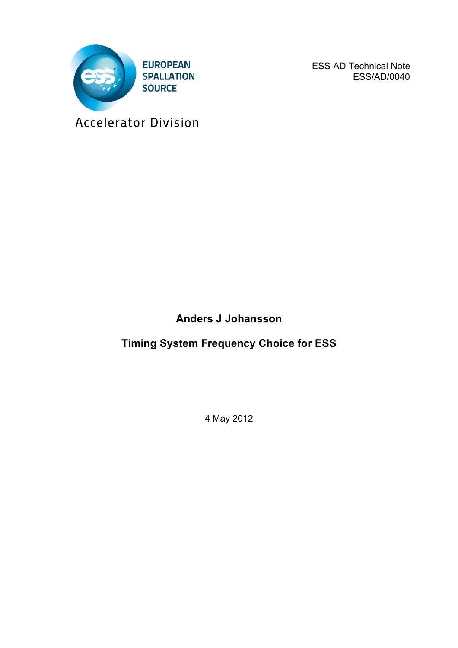

ESS AD Technical Note ESS/AD/0040

Accelerator Division

**Anders J Johansson**

**Timing System Frequency Choice for ESS**

4 May 2012